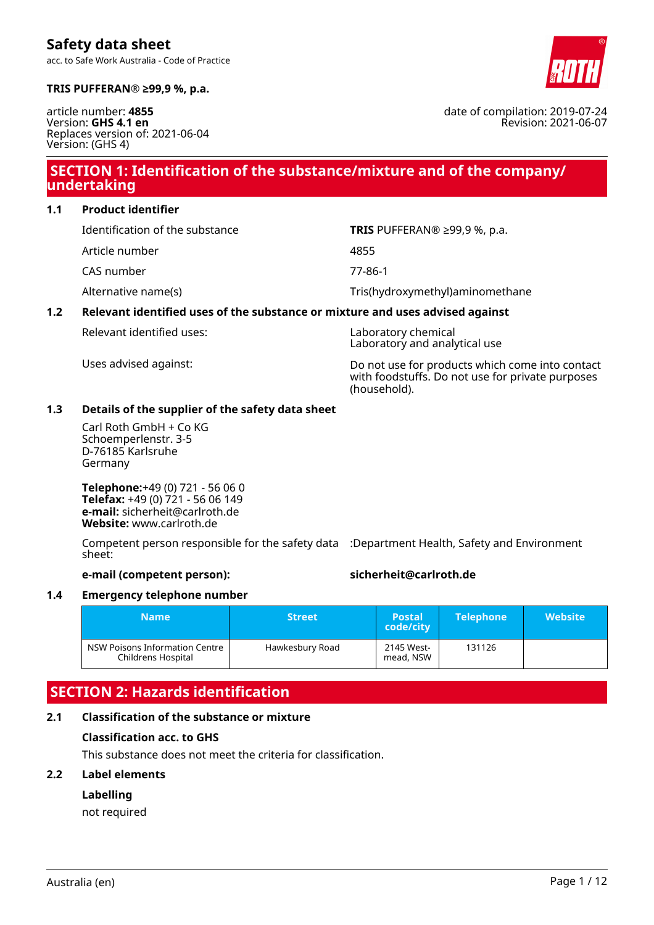

date of compilation: 2019-07-24

Revision: 2021-06-07

**TRIS PUFFERAN® ≥99,9 %, p.a.**

**Safety data sheet**

article number: **4855** Version: **GHS 4.1 en** Replaces version of: 2021-06-04 Version: (GHS 4)

### **SECTION 1: Identification of the substance/mixture and of the company/ undertaking**

**1.1 Product identifier**

- Article number 4855
- CAS number 77-86-1

Identification of the substance **TRIS** PUFFERAN® ≥99,9 %, p.a.

Alternative name(s)  $\qquad \qquad$  Tris(hydroxymethyl)aminomethane

### **1.2 Relevant identified uses of the substance or mixture and uses advised against**

Relevant identified uses: Laboratory chemical

Laboratory and analytical use

Uses advised against: Do not use for products which come into contact with foodstuffs. Do not use for private purposes (household).

### **1.3 Details of the supplier of the safety data sheet**

Carl Roth GmbH + Co KG Schoemperlenstr. 3-5 D-76185 Karlsruhe Germany

**Telephone:**+49 (0) 721 - 56 06 0 **Telefax:** +49 (0) 721 - 56 06 149 **e-mail:** sicherheit@carlroth.de **Website:** www.carlroth.de

Competent person responsible for the safety data :Department Health, Safety and Environment sheet:

### **e-mail (competent person): sicherheit@carlroth.de**

### **1.4 Emergency telephone number**

| <b>Name</b>                                          | <b>Street</b>   | <b>Postal</b><br>code/city | <b>Telephone</b> | <b>Website</b> |
|------------------------------------------------------|-----------------|----------------------------|------------------|----------------|
| NSW Poisons Information Centre<br>Childrens Hospital | Hawkesbury Road | 2145 West-<br>mead, NSW    | 131126           |                |

## **SECTION 2: Hazards identification**

### **2.1 Classification of the substance or mixture**

### **Classification acc. to GHS**

This substance does not meet the criteria for classification.

### **2.2 Label elements**

### **Labelling**

not required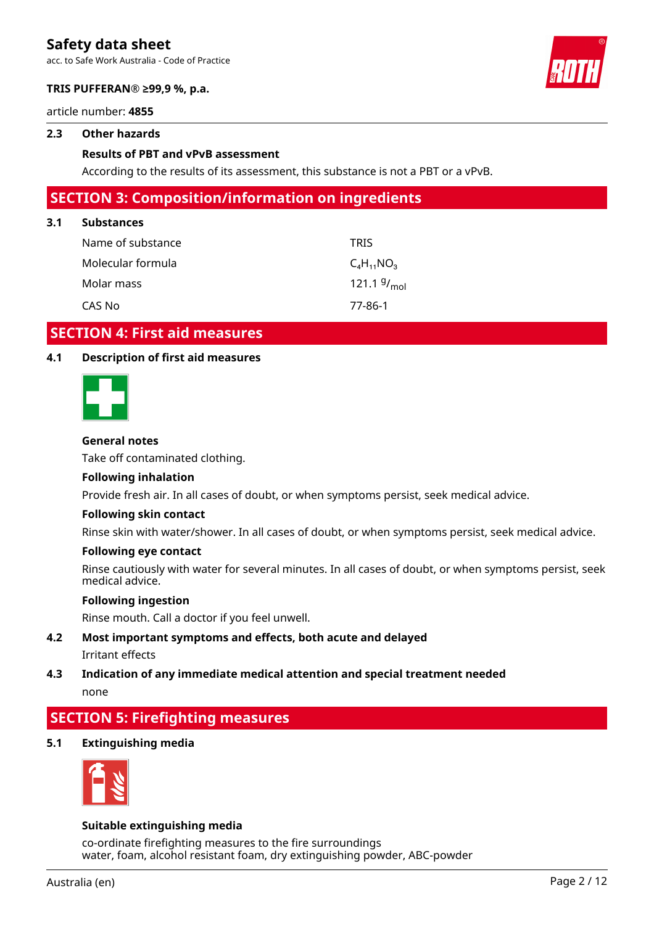acc. to Safe Work Australia - Code of Practice



### **TRIS PUFFERAN® ≥99,9 %, p.a.**

article number: **4855**

### **2.3 Other hazards**

### **Results of PBT and vPvB assessment**

According to the results of its assessment, this substance is not a PBT or a vPvB.

### **SECTION 3: Composition/information on ingredients**

### **3.1 Substances**

| Name of substance | <b>TRIS</b>      |
|-------------------|------------------|
| Molecular formula | $C_4H_{11}NO_3$  |
| Molar mass        | 121.1 $9/_{mol}$ |
| CAS No            | 77-86-1          |

### **SECTION 4: First aid measures**

### **4.1 Description of first aid measures**



### **General notes**

Take off contaminated clothing.

### **Following inhalation**

Provide fresh air. In all cases of doubt, or when symptoms persist, seek medical advice.

### **Following skin contact**

Rinse skin with water/shower. In all cases of doubt, or when symptoms persist, seek medical advice.

#### **Following eye contact**

Rinse cautiously with water for several minutes. In all cases of doubt, or when symptoms persist, seek medical advice.

#### **Following ingestion**

Rinse mouth. Call a doctor if you feel unwell.

- **4.2 Most important symptoms and effects, both acute and delayed** Irritant effects
- **4.3 Indication of any immediate medical attention and special treatment needed** none

### **SECTION 5: Firefighting measures**

**5.1 Extinguishing media**



### **Suitable extinguishing media**

co-ordinate firefighting measures to the fire surroundings water, foam, alcohol resistant foam, dry extinguishing powder, ABC-powder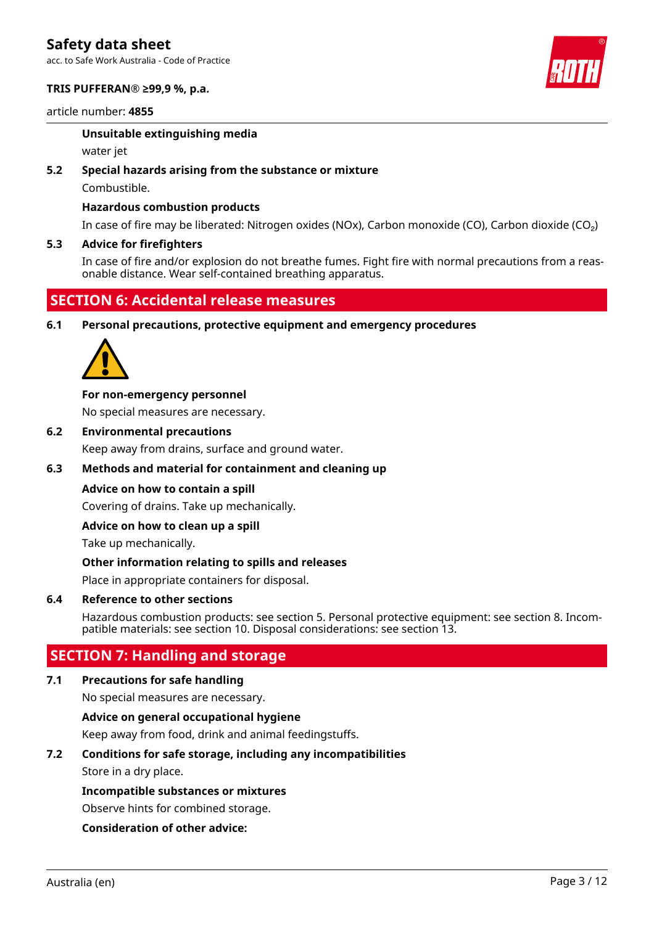acc. to Safe Work Australia - Code of Practice

### **TRIS PUFFERAN® ≥99,9 %, p.a.**

article number: **4855**

### **Unsuitable extinguishing media**

water jet

### **5.2 Special hazards arising from the substance or mixture**

Combustible.

### **Hazardous combustion products**

In case of fire may be liberated: Nitrogen oxides (NOx), Carbon monoxide (CO), Carbon dioxide (CO₂)

### **5.3 Advice for firefighters**

In case of fire and/or explosion do not breathe fumes. Fight fire with normal precautions from a reasonable distance. Wear self-contained breathing apparatus.

### **SECTION 6: Accidental release measures**

**6.1 Personal precautions, protective equipment and emergency procedures**



### **For non-emergency personnel**

No special measures are necessary.

**6.2 Environmental precautions**

Keep away from drains, surface and ground water.

### **6.3 Methods and material for containment and cleaning up**

### **Advice on how to contain a spill**

Covering of drains. Take up mechanically.

### **Advice on how to clean up a spill**

Take up mechanically.

### **Other information relating to spills and releases**

Place in appropriate containers for disposal.

### **6.4 Reference to other sections**

Hazardous combustion products: see section 5. Personal protective equipment: see section 8. Incompatible materials: see section 10. Disposal considerations: see section 13.

### **SECTION 7: Handling and storage**

### **7.1 Precautions for safe handling**

No special measures are necessary.

### **Advice on general occupational hygiene**

Keep away from food, drink and animal feedingstuffs.

### **7.2 Conditions for safe storage, including any incompatibilities**

Store in a dry place.

### **Incompatible substances or mixtures**

Observe hints for combined storage.

### **Consideration of other advice:**

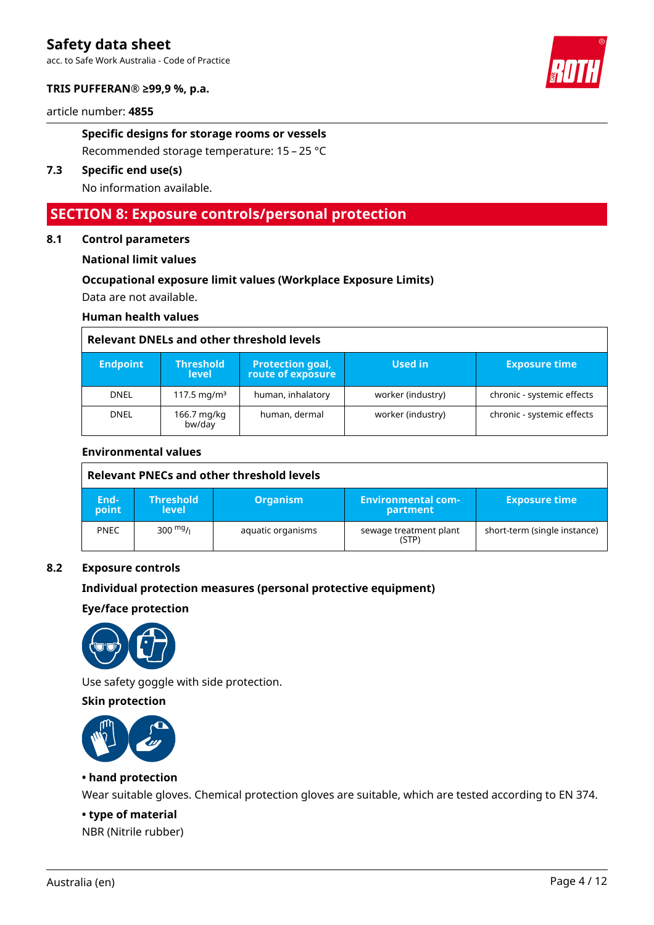acc. to Safe Work Australia - Code of Practice

### **TRIS PUFFERAN® ≥99,9 %, p.a.**

article number: **4855**

**Specific designs for storage rooms or vessels**

Recommended storage temperature: 15 – 25 °C

### **7.3 Specific end use(s)**

No information available.

### **SECTION 8: Exposure controls/personal protection**

### **8.1 Control parameters**

#### **National limit values**

### **Occupational exposure limit values (Workplace Exposure Limits)**

Data are not available.

### **Human health values**

#### **Relevant DNELs and other threshold levels**

| <b>Endpoint</b> | <b>Threshold</b><br><b>level</b> | <b>Protection goal,</b><br>route of exposure | Used in           | <b>Exposure time</b>       |
|-----------------|----------------------------------|----------------------------------------------|-------------------|----------------------------|
| <b>DNEL</b>     | 117.5 mg/m <sup>3</sup>          | human, inhalatory                            | worker (industry) | chronic - systemic effects |
| <b>DNEL</b>     | 166.7 mg/kg<br>bw/day            | human, dermal                                | worker (industry) | chronic - systemic effects |

### **Environmental values**

| Relevant PNECs and other threshold levels |                                  |                   |                                       |                              |
|-------------------------------------------|----------------------------------|-------------------|---------------------------------------|------------------------------|
| End-<br>point                             | <b>Threshold</b><br><b>level</b> | <b>Organism</b>   | <b>Environmental com-</b><br>partment | <b>Exposure time</b>         |
| <b>PNEC</b>                               | $300 \frac{mg}{l}$               | aquatic organisms | sewage treatment plant<br>(STP)       | short-term (single instance) |

#### **8.2 Exposure controls**

### **Individual protection measures (personal protective equipment)**

### **Eye/face protection**



Use safety goggle with side protection.

### **Skin protection**



### **• hand protection**

Wear suitable gloves. Chemical protection gloves are suitable, which are tested according to EN 374.

#### **• type of material**

NBR (Nitrile rubber)

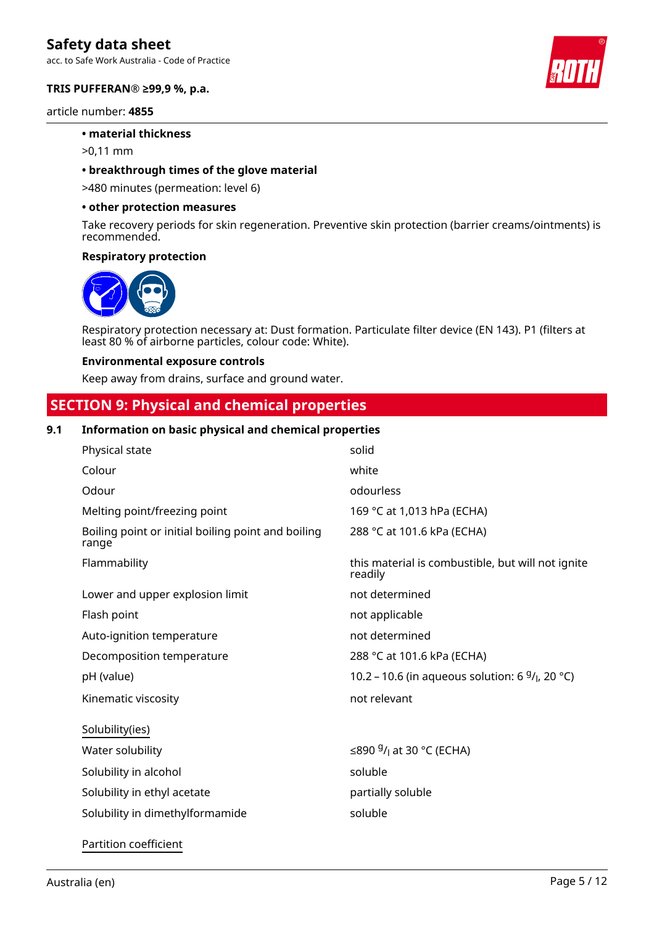acc. to Safe Work Australia - Code of Practice

### **TRIS PUFFERAN® ≥99,9 %, p.a.**

article number: **4855**

### **• material thickness**

>0,11 mm

#### **• breakthrough times of the glove material**

>480 minutes (permeation: level 6)

#### **• other protection measures**

Take recovery periods for skin regeneration. Preventive skin protection (barrier creams/ointments) is recommended.

#### **Respiratory protection**



Respiratory protection necessary at: Dust formation. Particulate filter device (EN 143). P1 (filters at least 80 % of airborne particles, colour code: White).

#### **Environmental exposure controls**

Keep away from drains, surface and ground water.

### **SECTION 9: Physical and chemical properties**

### **9.1 Information on basic physical and chemical properties**

| Physical state                                              | solid                                                        |
|-------------------------------------------------------------|--------------------------------------------------------------|
| Colour                                                      | white                                                        |
| Odour                                                       | odourless                                                    |
| Melting point/freezing point                                | 169 °C at 1,013 hPa (ECHA)                                   |
| Boiling point or initial boiling point and boiling<br>range | 288 °C at 101.6 kPa (ECHA)                                   |
| Flammability                                                | this material is combustible, but will not ignite<br>readily |
| Lower and upper explosion limit                             | not determined                                               |
| Flash point                                                 | not applicable                                               |
| Auto-ignition temperature                                   | not determined                                               |
| Decomposition temperature                                   | 288 °C at 101.6 kPa (ECHA)                                   |
| pH (value)                                                  | 10.2 – 10.6 (in aqueous solution: 6 $9/1$ , 20 °C)           |
| Kinematic viscosity                                         | not relevant                                                 |
| Solubility(ies)                                             |                                                              |
| Water solubility                                            | ≤890 $9/$ <sub>1</sub> at 30 °C (ECHA)                       |
| Solubility in alcohol                                       | soluble                                                      |
| Solubility in ethyl acetate                                 | partially soluble                                            |
| Solubility in dimethylformamide                             | soluble                                                      |
| Partition coefficient                                       |                                                              |

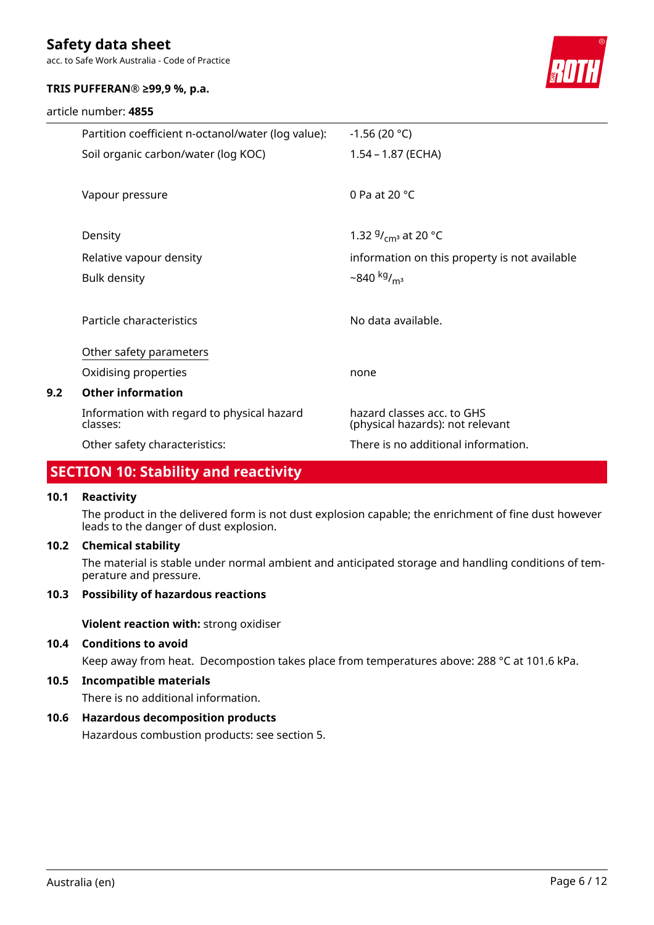acc. to Safe Work Australia - Code of Practice

### **TRIS PUFFERAN® ≥99,9 %, p.a.**

|     | article number: 4855                                   |                                                                |
|-----|--------------------------------------------------------|----------------------------------------------------------------|
|     | Partition coefficient n-octanol/water (log value):     | $-1.56(20 °C)$                                                 |
|     | Soil organic carbon/water (log KOC)                    | $1.54 - 1.87$ (ECHA)                                           |
|     | Vapour pressure                                        | 0 Pa at 20 $^{\circ}$ C                                        |
|     | Density                                                | 1.32 $9/_{cm^3}$ at 20 °C                                      |
|     | Relative vapour density                                | information on this property is not available                  |
|     | <b>Bulk density</b>                                    | $-840 \frac{\text{kg}}{\text{m}^3}$                            |
|     | Particle characteristics                               | No data available.                                             |
|     | Other safety parameters                                |                                                                |
|     | Oxidising properties                                   | none                                                           |
| 9.2 | <b>Other information</b>                               |                                                                |
|     | Information with regard to physical hazard<br>classes: | hazard classes acc. to GHS<br>(physical hazards): not relevant |
|     | Other safety characteristics:                          | There is no additional information.                            |

## **SECTION 10: Stability and reactivity**

### **10.1 Reactivity**

The product in the delivered form is not dust explosion capable; the enrichment of fine dust however leads to the danger of dust explosion.

### **10.2 Chemical stability**

The material is stable under normal ambient and anticipated storage and handling conditions of temperature and pressure.

### **10.3 Possibility of hazardous reactions**

**Violent reaction with:** strong oxidiser

### **10.4 Conditions to avoid**

Keep away from heat. Decompostion takes place from temperatures above: 288 °C at 101.6 kPa.

### **10.5 Incompatible materials**

There is no additional information.

### **10.6 Hazardous decomposition products**

Hazardous combustion products: see section 5.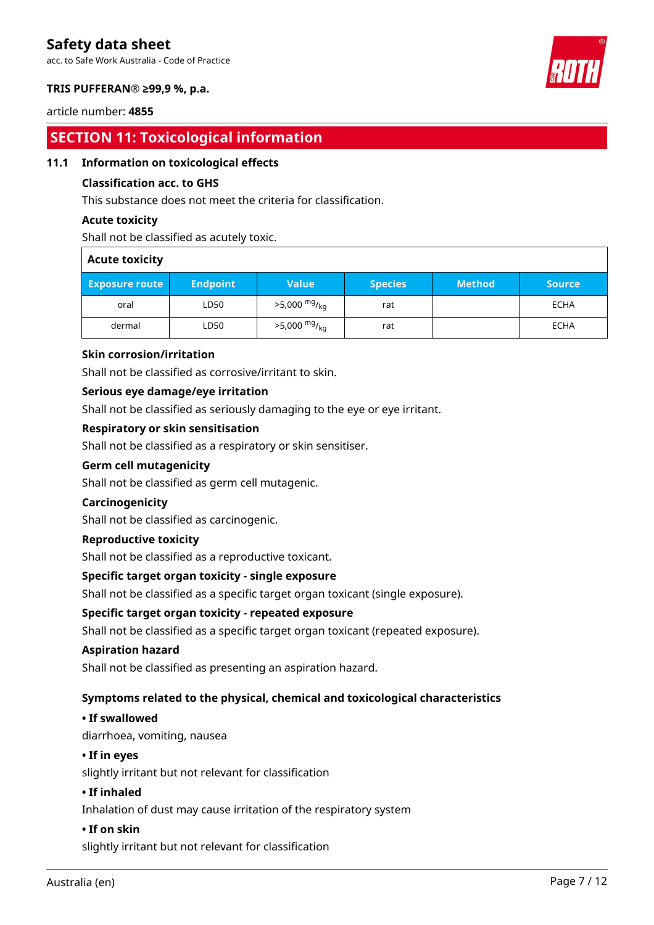acc. to Safe Work Australia - Code of Practice



### **TRIS PUFFERAN® ≥99,9 %, p.a.**

### article number: **4855**

# **SECTION 11: Toxicological information**

### **11.1 Information on toxicological effects**

### **Classification acc. to GHS**

This substance does not meet the criteria for classification.

### **Acute toxicity**

Shall not be classified as acutely toxic.

| <b>Acute toxicity</b> |                 |                            |                |               |               |
|-----------------------|-----------------|----------------------------|----------------|---------------|---------------|
| <b>Exposure route</b> | <b>Endpoint</b> | <b>Value</b>               | <b>Species</b> | <b>Method</b> | <b>Source</b> |
| oral                  | LD50            | $>5,000$ mg/ <sub>kg</sub> | rat            |               | ECHA          |
| dermal                | LD50            | $>5,000$ mg/ <sub>kg</sub> | rat            |               | ECHA          |

### **Skin corrosion/irritation**

Shall not be classified as corrosive/irritant to skin.

### **Serious eye damage/eye irritation**

Shall not be classified as seriously damaging to the eye or eye irritant.

### **Respiratory or skin sensitisation**

Shall not be classified as a respiratory or skin sensitiser.

### **Germ cell mutagenicity**

Shall not be classified as germ cell mutagenic.

### **Carcinogenicity**

Shall not be classified as carcinogenic.

### **Reproductive toxicity**

Shall not be classified as a reproductive toxicant.

### **Specific target organ toxicity - single exposure**

Shall not be classified as a specific target organ toxicant (single exposure).

### **Specific target organ toxicity - repeated exposure**

Shall not be classified as a specific target organ toxicant (repeated exposure).

### **Aspiration hazard**

Shall not be classified as presenting an aspiration hazard.

### **Symptoms related to the physical, chemical and toxicological characteristics**

### **• If swallowed**

diarrhoea, vomiting, nausea

### **• If in eyes**

slightly irritant but not relevant for classification

### **• If inhaled**

Inhalation of dust may cause irritation of the respiratory system

### **• If on skin**

slightly irritant but not relevant for classification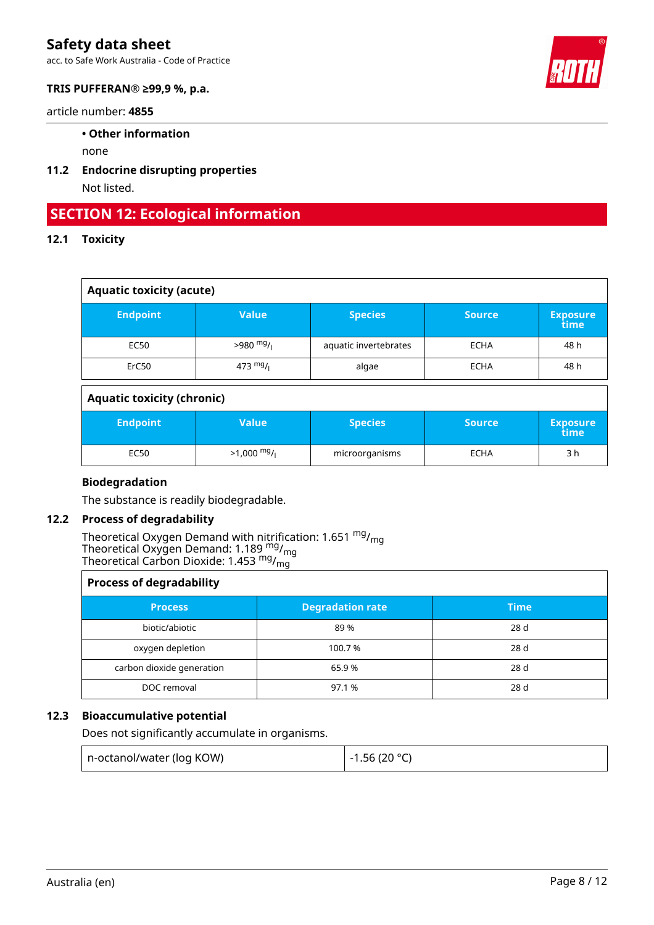acc. to Safe Work Australia - Code of Practice



### **TRIS PUFFERAN® ≥99,9 %, p.a.**

article number: **4855**

### **• Other information**

none

**11.2 Endocrine disrupting properties** Not listed.

# **SECTION 12: Ecological information**

### **12.1 Toxicity**

| <b>Aquatic toxicity (acute)</b> |              |                       |               |                         |
|---------------------------------|--------------|-----------------------|---------------|-------------------------|
| <b>Endpoint</b>                 | <b>Value</b> | <b>Species</b>        | <b>Source</b> | <b>Exposure</b><br>time |
| EC50                            | $>980$ mg/   | aquatic invertebrates | <b>ECHA</b>   | 48 h                    |
| ErC50                           | 473 $mg/$    | algae                 | <b>ECHA</b>   | 48 h                    |

### **Aquatic toxicity (chronic)**

| <b>Endpoint</b> | Value        | <b>Species</b> | <b>Source</b> | <b>Exposure</b><br>time |
|-----------------|--------------|----------------|---------------|-------------------------|
| EC50            | $>1,000$ mg/ | microorganisms | ECHA          | 3 h                     |

### **Biodegradation**

The substance is readily biodegradable.

### **12.2 Process of degradability**

Theoretical Oxygen Demand with nitrification: 1.651  $^{\mathsf{mg}}\prime_{\mathsf{mg}}$ Theoretical Oxygen Demand: 1.189  $_{\text{mg}}^{\text{mg}}$ /<sub>mg</sub> Theoretical Carbon Dioxide: 1.453  $^{\mathsf{mg}}\prime_{\mathsf{mg}}$ 

| <b>Process of degradability</b> |                         |       |  |  |
|---------------------------------|-------------------------|-------|--|--|
| <b>Process</b>                  | <b>Degradation rate</b> | Time' |  |  |
| biotic/abiotic                  | 89 %                    | 28 d  |  |  |
| oxygen depletion                | 100.7 %                 | 28 d  |  |  |
| carbon dioxide generation       | 65.9%                   | 28 d  |  |  |
| DOC removal                     | 97.1 %                  | 28 d  |  |  |

### **12.3 Bioaccumulative potential**

Does not significantly accumulate in organisms.

| n-octanol/water (log KOW) | $-1.56(20 °C)$ |
|---------------------------|----------------|
|                           |                |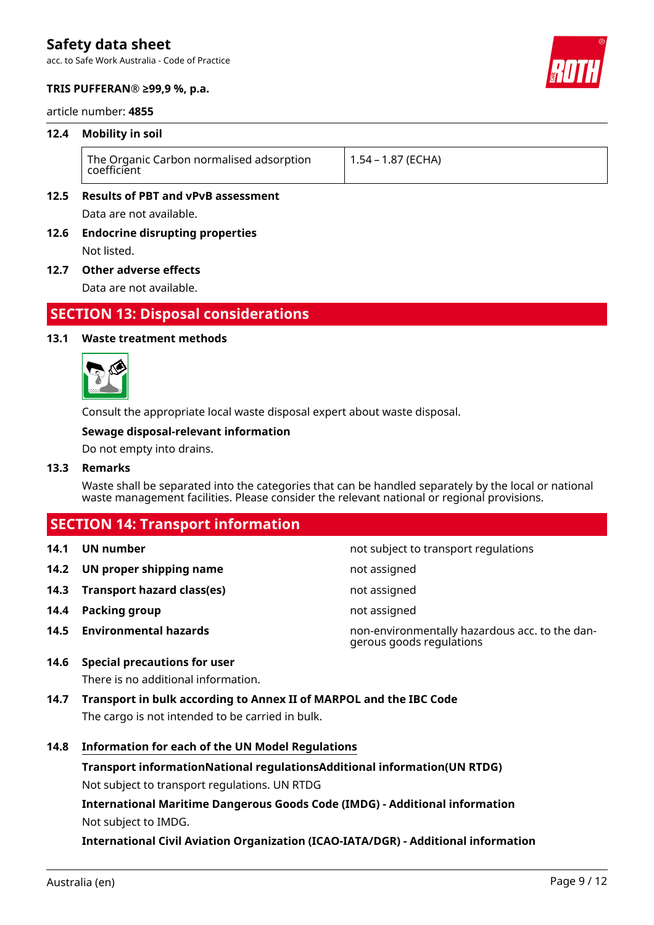acc. to Safe Work Australia - Code of Practice



### **TRIS PUFFERAN® ≥99,9 %, p.a.**

article number: **4855**

### **12.4 Mobility in soil**

|  | The Organic Carbon normalised adsorption<br>coefficient | 1.54 – 1.87 (ECHA) |
|--|---------------------------------------------------------|--------------------|
|--|---------------------------------------------------------|--------------------|

### **12.5 Results of PBT and vPvB assessment**

Data are not available.

**12.6 Endocrine disrupting properties** Not listed.

### **12.7 Other adverse effects**

Data are not available.

### **SECTION 13: Disposal considerations**

### **13.1 Waste treatment methods**



Consult the appropriate local waste disposal expert about waste disposal.

### **Sewage disposal-relevant information**

Do not empty into drains.

### **13.3 Remarks**

Waste shall be separated into the categories that can be handled separately by the local or national waste management facilities. Please consider the relevant national or regional provisions.

### **SECTION 14: Transport information**

- 
- **14.2 UN proper shipping name** not assigned
- **14.3 Transport hazard class(es)** not assigned
- **14.4 Packing group not assigned**
- 
- **14.1 UN number 14.1 UN** number
	-
	-
	-
- **14.5 Environmental hazards** non-environmentally hazardous acc. to the dangerous goods regulations

### **14.6 Special precautions for user**

There is no additional information.

- **14.7 Transport in bulk according to Annex II of MARPOL and the IBC Code** The cargo is not intended to be carried in bulk.
- **14.8 Information for each of the UN Model Regulations**

**Transport informationNational regulationsAdditional information(UN RTDG)** Not subject to transport regulations. UN RTDG

**International Maritime Dangerous Goods Code (IMDG) - Additional information** Not subject to IMDG.

**International Civil Aviation Organization (ICAO-IATA/DGR) - Additional information**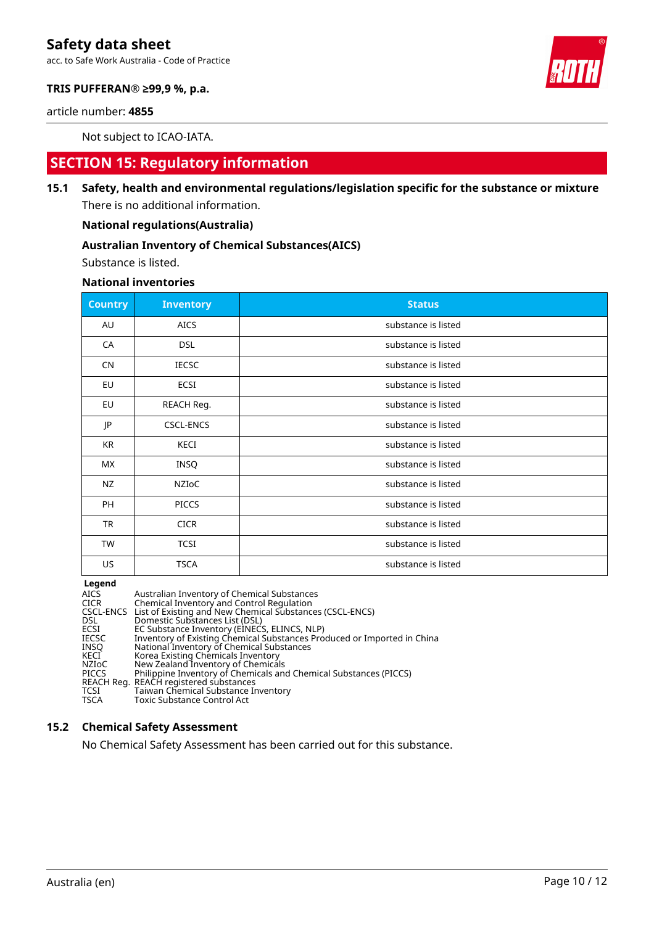acc. to Safe Work Australia - Code of Practice



### **TRIS PUFFERAN® ≥99,9 %, p.a.**

article number: **4855**

Not subject to ICAO-IATA.

### **SECTION 15: Regulatory information**

**15.1 Safety, health and environmental regulations/legislation specific for the substance or mixture** There is no additional information.

**National regulations(Australia)**

### **Australian Inventory of Chemical Substances(AICS)**

Substance is listed.

**National inventories**

| <b>Country</b> | <b>Inventory</b> | <b>Status</b>       |
|----------------|------------------|---------------------|
| AU             | <b>AICS</b>      | substance is listed |
| CA             | <b>DSL</b>       | substance is listed |
| <b>CN</b>      | <b>IECSC</b>     | substance is listed |
| EU             | ECSI             | substance is listed |
| EU             | REACH Reg.       | substance is listed |
| JP             | <b>CSCL-ENCS</b> | substance is listed |
| KR             | KECI             | substance is listed |
| МX             | <b>INSQ</b>      | substance is listed |
| NZ             | NZIOC            | substance is listed |
| PH             | <b>PICCS</b>     | substance is listed |
| <b>TR</b>      | <b>CICR</b>      | substance is listed |
| TW             | <b>TCSI</b>      | substance is listed |
| US             | <b>TSCA</b>      | substance is listed |

**Legend**

| <b>AICS</b><br><b>CICR</b> | Australian Inventory of Chemical Substances<br>Chemical Inventory and Control Regulation |
|----------------------------|------------------------------------------------------------------------------------------|
|                            | CSCL-ENCS List of Existing and New Chemical Substances (CSCL-ENCS)                       |
| <b>DSL</b><br>ECSI         | Domestic Substances List (DSL)<br>EC Substance Inventory (EINECS, ELINCS, NLP)           |
| <b>IECSC</b>               | Inventory of Existing Chemical Substances Produced or Imported in China                  |
| INSO                       | National Inventory of Chemical Substances                                                |
| KECI                       | Korea Existing Chemicals Inventory                                                       |
| NZIoC                      | New Zealand Inventory of Chemicals                                                       |
| <b>PICCS</b>               | Philippine Inventory of Chemicals and Chemical Substances (PICCS)                        |
|                            | REACH Reg. REACH registered substances                                                   |
| <b>TCSI</b><br><b>TSCA</b> | Taiwan Chemical Substance Inventory<br>Toxic Substance Control Act                       |
|                            |                                                                                          |

#### **15.2 Chemical Safety Assessment**

No Chemical Safety Assessment has been carried out for this substance.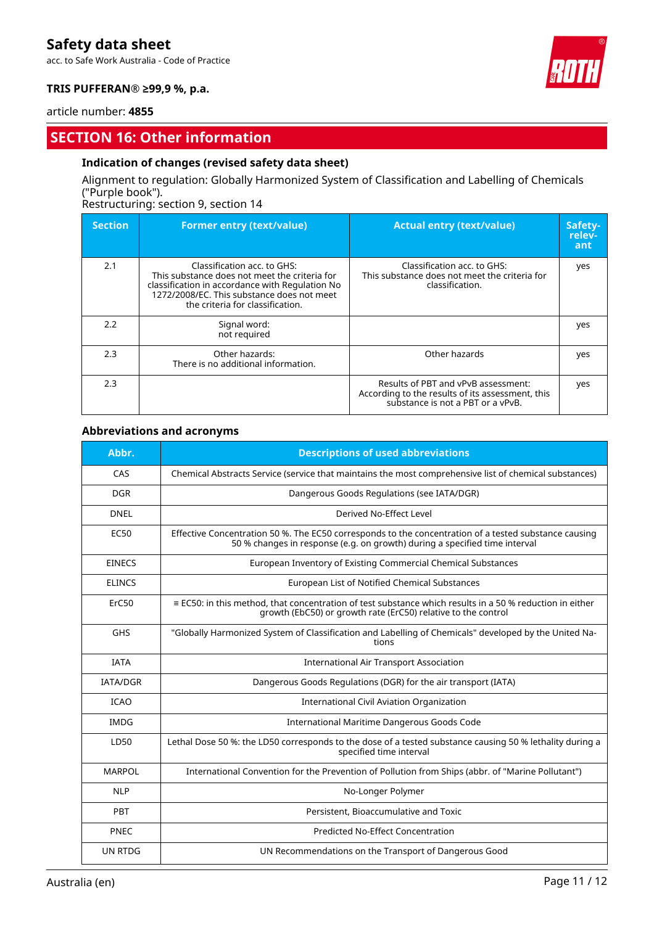acc. to Safe Work Australia - Code of Practice



### **TRIS PUFFERAN® ≥99,9 %, p.a.**

#### article number: **4855**

### **SECTION 16: Other information**

### **Indication of changes (revised safety data sheet)**

### Alignment to regulation: Globally Harmonized System of Classification and Labelling of Chemicals ("Purple book").

### Restructuring: section 9, section 14

| <b>Section</b> | <b>Former entry (text/value)</b>                                                                                                                                                                                  | <b>Actual entry (text/value)</b>                                                                                             | Safety-<br>relev-<br>ant |
|----------------|-------------------------------------------------------------------------------------------------------------------------------------------------------------------------------------------------------------------|------------------------------------------------------------------------------------------------------------------------------|--------------------------|
| 2.1            | Classification acc. to GHS:<br>This substance does not meet the criteria for<br>classification in accordance with Regulation No<br>1272/2008/EC. This substance does not meet<br>the criteria for classification. | Classification acc. to GHS:<br>This substance does not meet the criteria for<br>classification.                              | yes                      |
| 2.2            | Signal word:<br>not required                                                                                                                                                                                      |                                                                                                                              | yes                      |
| 2.3            | Other hazards:<br>There is no additional information.                                                                                                                                                             | Other hazards                                                                                                                | yes                      |
| 2.3            |                                                                                                                                                                                                                   | Results of PBT and vPvB assessment:<br>According to the results of its assessment, this<br>substance is not a PBT or a vPvB. | yes                      |

### **Abbreviations and acronyms**

| Abbr.           | <b>Descriptions of used abbreviations</b>                                                                                                                                           |
|-----------------|-------------------------------------------------------------------------------------------------------------------------------------------------------------------------------------|
| CAS             | Chemical Abstracts Service (service that maintains the most comprehensive list of chemical substances)                                                                              |
| <b>DGR</b>      | Dangerous Goods Regulations (see IATA/DGR)                                                                                                                                          |
| <b>DNEL</b>     | Derived No-Effect Level                                                                                                                                                             |
| EC50            | Effective Concentration 50 %. The EC50 corresponds to the concentration of a tested substance causing<br>50 % changes in response (e.g. on growth) during a specified time interval |
| <b>EINECS</b>   | European Inventory of Existing Commercial Chemical Substances                                                                                                                       |
| <b>ELINCS</b>   | European List of Notified Chemical Substances                                                                                                                                       |
| ErC50           | $\equiv$ EC50; in this method, that concentration of test substance which results in a 50 % reduction in either<br>growth (EbC50) or growth rate (ErC50) relative to the control    |
| GHS             | "Globally Harmonized System of Classification and Labelling of Chemicals" developed by the United Na-<br>tions                                                                      |
| <b>IATA</b>     | <b>International Air Transport Association</b>                                                                                                                                      |
| <b>IATA/DGR</b> | Dangerous Goods Regulations (DGR) for the air transport (IATA)                                                                                                                      |
| <b>ICAO</b>     | International Civil Aviation Organization                                                                                                                                           |
| <b>IMDG</b>     | International Maritime Dangerous Goods Code                                                                                                                                         |
| LD50            | Lethal Dose 50 %: the LD50 corresponds to the dose of a tested substance causing 50 % lethality during a<br>specified time interval                                                 |
| <b>MARPOL</b>   | International Convention for the Prevention of Pollution from Ships (abbr. of "Marine Pollutant")                                                                                   |
| <b>NLP</b>      | No-Longer Polymer                                                                                                                                                                   |
| PBT             | Persistent, Bioaccumulative and Toxic                                                                                                                                               |
| <b>PNEC</b>     | Predicted No-Effect Concentration                                                                                                                                                   |
| UN RTDG         | UN Recommendations on the Transport of Dangerous Good                                                                                                                               |